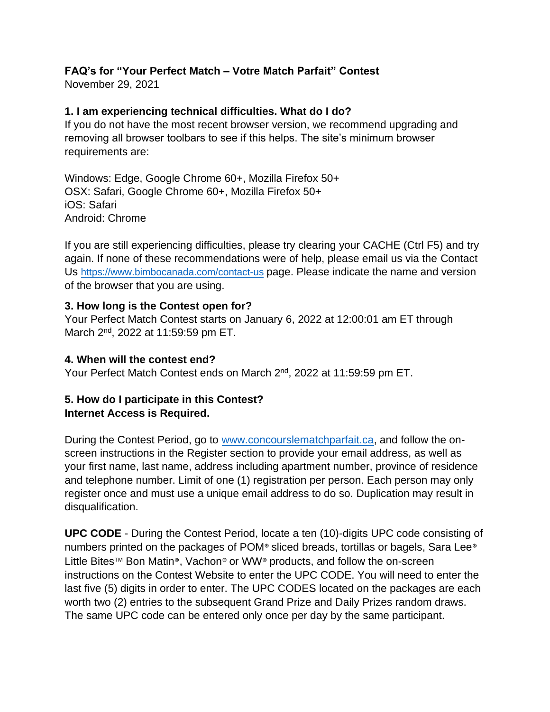## **FAQ's for "Your Perfect Match – Votre Match Parfait" Contest**

November 29, 2021

### **1. I am experiencing technical difficulties. What do I do?**

If you do not have the most recent browser version, we recommend upgrading and removing all browser toolbars to see if this helps. The site's minimum browser requirements are:

Windows: Edge, Google Chrome 60+, Mozilla Firefox 50+ OSX: Safari, Google Chrome 60+, Mozilla Firefox 50+ iOS: Safari Android: Chrome

If you are still experiencing difficulties, please try clearing your CACHE (Ctrl F5) and try again. If none of these recommendations were of help, please email us via the Contact Us <https://www.bimbocanada.com/contact-us> page. Please indicate the name and version of the browser that you are using.

### **3. How long is the Contest open for?**

Your Perfect Match Contest starts on January 6, 2022 at 12:00:01 am ET through March 2<sup>nd</sup>, 2022 at 11:59:59 pm ET.

#### **4. When will the contest end?**

Your Perfect Match Contest ends on March 2nd, 2022 at 11:59:59 pm ET.

### **5. How do I participate in this Contest? Internet Access is Required.**

During the Contest Period, go to [www.concourslematchparfait.ca,](http://www.concourslematchparfait.ca/) and follow the onscreen instructions in the Register section to provide your email address, as well as your first name, last name, address including apartment number, province of residence and telephone number. Limit of one (1) registration per person. Each person may only register once and must use a unique email address to do so. Duplication may result in disqualification.

**UPC CODE** - During the Contest Period, locate a ten (10)-digits UPC code consisting of numbers printed on the packages of POM® sliced breads, tortillas or bagels, Sara Lee® Little Bites<sup>™</sup> Bon Matin®, Vachon® or WW® products, and follow the on-screen instructions on the Contest Website to enter the UPC CODE. You will need to enter the last five (5) digits in order to enter. The UPC CODES located on the packages are each worth two (2) entries to the subsequent Grand Prize and Daily Prizes random draws. The same UPC code can be entered only once per day by the same participant.